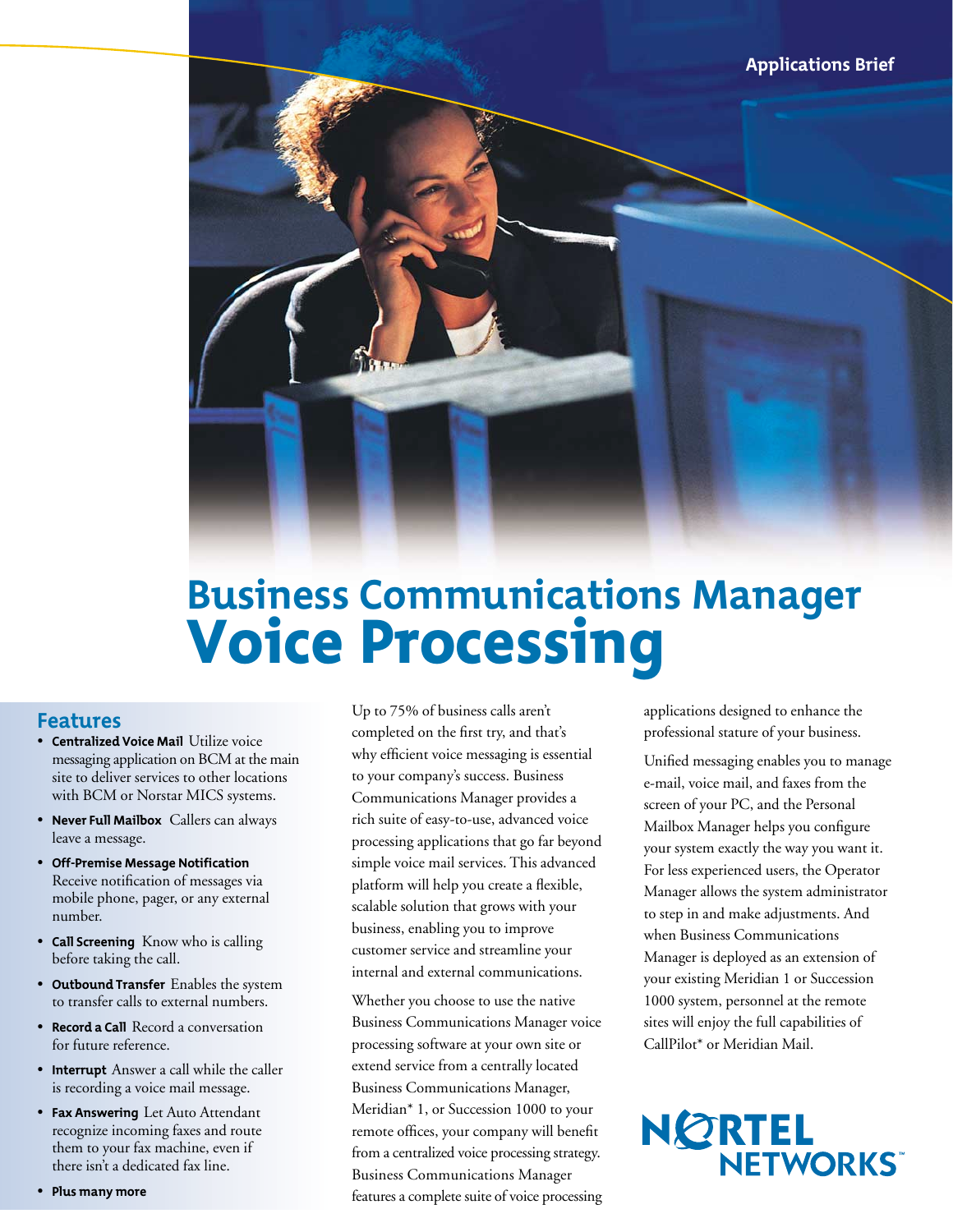

# **Business Communications Manager**  Voice Processing

### **Features**

- **Centralized Voice Mail** Utilize voice messaging application on BCM at the main site to deliver services to other locations with BCM or Norstar MICS systems.
- **Never Full Mailbox** Callers can always leave a message.
- **Off-Premise Message Notification** Receive notification of messages via mobile phone, pager, or any external number.
- **Call Screening** Know who is calling before taking the call.
- **Outbound Transfer** Enables the system to transfer calls to external numbers.
- **Record a Call** Record a conversation for future reference.
- **Interrupt** Answer a call while the caller is recording a voice mail message.
- **Fax Answering** Let Auto Attendant recognize incoming faxes and route them to your fax machine, even if there isn't a dedicated fax line.

• **Plus many more**

Up to 75% of business calls aren't completed on the first try, and that's why efficient voice messaging is essential to your company's success. Business Communications Manager provides a rich suite of easy-to-use, advanced voice processing applications that go far beyond simple voice mail services. This advanced platform will help you create a flexible, scalable solution that grows with your business, enabling you to improve customer service and streamline your internal and external communications.

Whether you choose to use the native Business Communications Manager voice processing software at your own site or extend service from a centrally located Business Communications Manager, Meridian\* 1, or Succession 1000 to your remote offices, your company will benefit from a centralized voice processing strategy. Business Communications Manager features a complete suite of voice processing applications designed to enhance the professional stature of your business.

Unified messaging enables you to manage e-mail, voice mail, and faxes from the screen of your PC, and the Personal Mailbox Manager helps you configure your system exactly the way you want it. For less experienced users, the Operator Manager allows the system administrator to step in and make adjustments. And when Business Communications Manager is deployed as an extension of your existing Meridian 1 or Succession 1000 system, personnel at the remote sites will enjoy the full capabilities of CallPilot\* or Meridian Mail.

# NORTEL